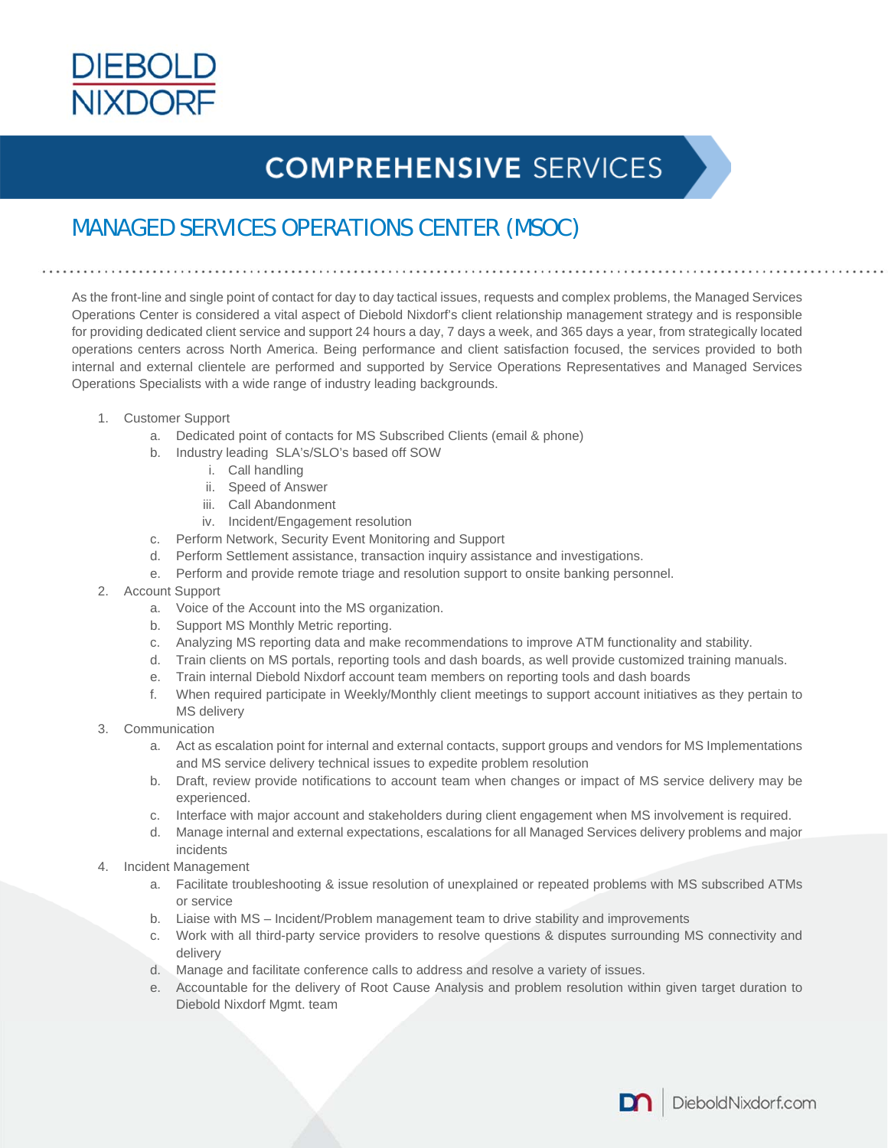

## **COMPREHENSIVE SERVICES**

## MANAGED SERVICES OPERATIONS CENTER (MSOC)

As the front-line and single point of contact for day to day tactical issues, requests and complex problems, the Managed Services Operations Center is considered a vital aspect of Diebold Nixdorf's client relationship management strategy and is responsible for providing dedicated client service and support 24 hours a day, 7 days a week, and 365 days a year, from strategically located operations centers across North America. Being performance and client satisfaction focused, the services provided to both internal and external clientele are performed and supported by Service Operations Representatives and Managed Services Operations Specialists with a wide range of industry leading backgrounds.

- 1. Customer Support
	- a. Dedicated point of contacts for MS Subscribed Clients (email & phone)
	- b. Industry leading SLA's/SLO's based off SOW
		- i. Call handling
			- ii. Speed of Answer
			- iii. Call Abandonment
		- iv. Incident/Engagement resolution
	- c. Perform Network, Security Event Monitoring and Support
	- d. Perform Settlement assistance, transaction inquiry assistance and investigations.
	- e. Perform and provide remote triage and resolution support to onsite banking personnel.
- 2. Account Support
	- a. Voice of the Account into the MS organization.
	- b. Support MS Monthly Metric reporting.
	- c. Analyzing MS reporting data and make recommendations to improve ATM functionality and stability.
	- d. Train clients on MS portals, reporting tools and dash boards, as well provide customized training manuals.
	- e. Train internal Diebold Nixdorf account team members on reporting tools and dash boards
	- f. When required participate in Weekly/Monthly client meetings to support account initiatives as they pertain to MS delivery
- 3. Communication
	- a. Act as escalation point for internal and external contacts, support groups and vendors for MS Implementations and MS service delivery technical issues to expedite problem resolution
	- b. Draft, review provide notifications to account team when changes or impact of MS service delivery may be experienced.
	- c. Interface with major account and stakeholders during client engagement when MS involvement is required.
	- d. Manage internal and external expectations, escalations for all Managed Services delivery problems and major incidents
- 4. Incident Management
	- a. Facilitate troubleshooting & issue resolution of unexplained or repeated problems with MS subscribed ATMs or service
	- b. Liaise with MS Incident/Problem management team to drive stability and improvements
	- c. Work with all third-party service providers to resolve questions & disputes surrounding MS connectivity and delivery
	- d. Manage and facilitate conference calls to address and resolve a variety of issues.
	- e. Accountable for the delivery of Root Cause Analysis and problem resolution within given target duration to Diebold Nixdorf Mgmt. team